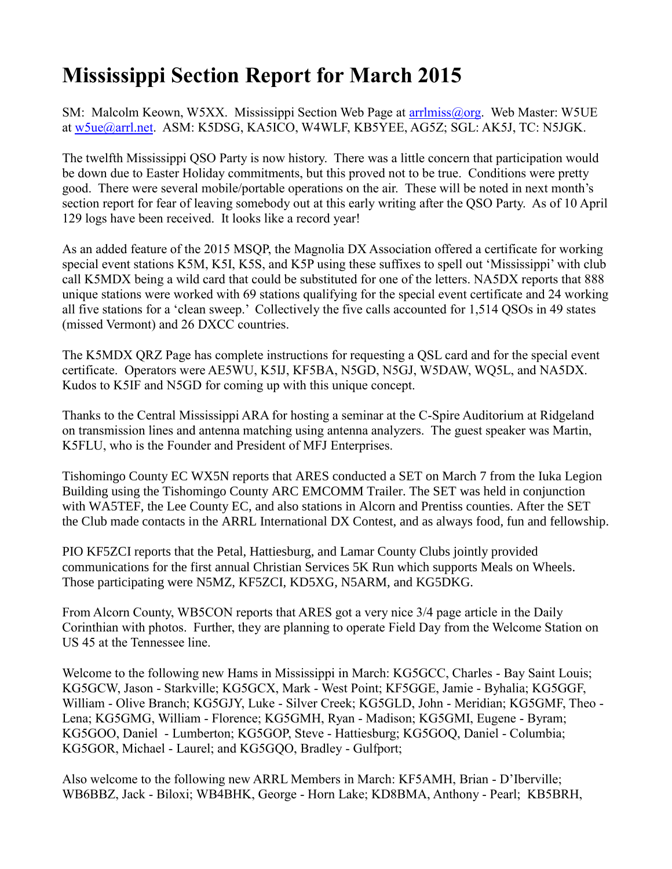## **Mississippi Section Report for March 2015**

SM: Malcolm Keown, W5XX. Mississippi Section Web Page at [arrlmiss@org.](mailto:arrlmiss@org) Web Master: W5UE at [w5ue@arrl.net.](mailto:w5ue@arrl.net) ASM: K5DSG, KA5ICO, W4WLF, KB5YEE, AG5Z; SGL: AK5J, TC: N5JGK.

The twelfth Mississippi QSO Party is now history. There was a little concern that participation would be down due to Easter Holiday commitments, but this proved not to be true. Conditions were pretty good. There were several mobile/portable operations on the air. These will be noted in next month's section report for fear of leaving somebody out at this early writing after the QSO Party. As of 10 April 129 logs have been received. It looks like a record year!

As an added feature of the 2015 MSQP, the Magnolia DX Association offered a certificate for working special event stations K5M, K5I, K5S, and K5P using these suffixes to spell out 'Mississippi' with club call K5MDX being a wild card that could be substituted for one of the letters. NA5DX reports that 888 unique stations were worked with 69 stations qualifying for the special event certificate and 24 working all five stations for a 'clean sweep.' Collectively the five calls accounted for 1,514 QSOs in 49 states (missed Vermont) and 26 DXCC countries.

The K5MDX QRZ Page has complete instructions for requesting a QSL card and for the special event certificate. Operators were AE5WU, K5IJ, KF5BA, N5GD, N5GJ, W5DAW, WQ5L, and NA5DX. Kudos to K5IF and N5GD for coming up with this unique concept.

Thanks to the Central Mississippi ARA for hosting a seminar at the C-Spire Auditorium at Ridgeland on transmission lines and antenna matching using antenna analyzers. The guest speaker was Martin, K5FLU, who is the Founder and President of MFJ Enterprises.

Tishomingo County EC WX5N reports that ARES conducted a SET on March 7 from the Iuka Legion Building using the Tishomingo County ARC EMCOMM Trailer. The SET was held in conjunction with WA5TEF, the Lee County EC, and also stations in Alcorn and Prentiss counties. After the SET the Club made contacts in the ARRL International DX Contest, and as always food, fun and fellowship.

PIO KF5ZCI reports that the Petal, Hattiesburg, and Lamar County Clubs jointly provided communications for the first annual Christian Services 5K Run which supports Meals on Wheels. Those participating were N5MZ, KF5ZCI, KD5XG, N5ARM, and KG5DKG.

From Alcorn County, WB5CON reports that ARES got a very nice 3/4 page article in the Daily Corinthian with photos. Further, they are planning to operate Field Day from the Welcome Station on US 45 at the Tennessee line.

Welcome to the following new Hams in Mississippi in March: KG5GCC, Charles - Bay Saint Louis; KG5GCW, Jason - Starkville; KG5GCX, Mark - West Point; KF5GGE, Jamie - Byhalia; KG5GGF, William - Olive Branch; KG5GJY, Luke - Silver Creek; KG5GLD, John - Meridian; KG5GMF, Theo - Lena; KG5GMG, William - Florence; KG5GMH, Ryan - Madison; KG5GMI, Eugene - Byram; KG5GOO, Daniel - Lumberton; KG5GOP, Steve - Hattiesburg; KG5GOQ, Daniel - Columbia; KG5GOR, Michael - Laurel; and KG5GQO, Bradley - Gulfport;

Also welcome to the following new ARRL Members in March: KF5AMH, Brian - D'Iberville; WB6BBZ, Jack - Biloxi; WB4BHK, George - Horn Lake; KD8BMA, Anthony - Pearl; KB5BRH,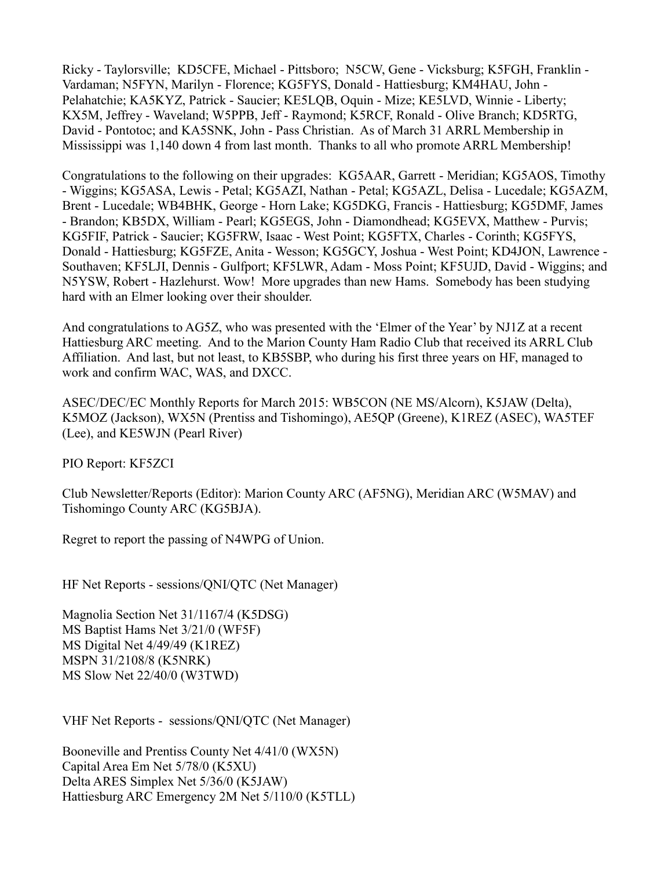Ricky - Taylorsville; KD5CFE, Michael - Pittsboro; N5CW, Gene - Vicksburg; K5FGH, Franklin - Vardaman; N5FYN, Marilyn - Florence; KG5FYS, Donald - Hattiesburg; KM4HAU, John - Pelahatchie; KA5KYZ, Patrick - Saucier; KE5LQB, Oquin - Mize; KE5LVD, Winnie - Liberty; KX5M, Jeffrey - Waveland; W5PPB, Jeff - Raymond; K5RCF, Ronald - Olive Branch; KD5RTG, David - Pontotoc; and KA5SNK, John - Pass Christian. As of March 31 ARRL Membership in Mississippi was 1,140 down 4 from last month. Thanks to all who promote ARRL Membership!

Congratulations to the following on their upgrades: KG5AAR, Garrett - Meridian; KG5AOS, Timothy - Wiggins; KG5ASA, Lewis - Petal; KG5AZI, Nathan - Petal; KG5AZL, Delisa - Lucedale; KG5AZM, Brent - Lucedale; WB4BHK, George - Horn Lake; KG5DKG, Francis - Hattiesburg; KG5DMF, James - Brandon; KB5DX, William - Pearl; KG5EGS, John - Diamondhead; KG5EVX, Matthew - Purvis; KG5FIF, Patrick - Saucier; KG5FRW, Isaac - West Point; KG5FTX, Charles - Corinth; KG5FYS, Donald - Hattiesburg; KG5FZE, Anita - Wesson; KG5GCY, Joshua - West Point; KD4JON, Lawrence - Southaven; KF5LJI, Dennis - Gulfport; KF5LWR, Adam - Moss Point; KF5UJD, David - Wiggins; and N5YSW, Robert - Hazlehurst. Wow! More upgrades than new Hams. Somebody has been studying hard with an Elmer looking over their shoulder.

And congratulations to AG5Z, who was presented with the 'Elmer of the Year' by NJ1Z at a recent Hattiesburg ARC meeting. And to the Marion County Ham Radio Club that received its ARRL Club Affiliation. And last, but not least, to KB5SBP, who during his first three years on HF, managed to work and confirm WAC, WAS, and DXCC.

ASEC/DEC/EC Monthly Reports for March 2015: WB5CON (NE MS/Alcorn), K5JAW (Delta), K5MOZ (Jackson), WX5N (Prentiss and Tishomingo), AE5QP (Greene), K1REZ (ASEC), WA5TEF (Lee), and KE5WJN (Pearl River)

PIO Report: KF5ZCI

Club Newsletter/Reports (Editor): Marion County ARC (AF5NG), Meridian ARC (W5MAV) and Tishomingo County ARC (KG5BJA).

Regret to report the passing of N4WPG of Union.

HF Net Reports - sessions/QNI/QTC (Net Manager)

Magnolia Section Net 31/1167/4 (K5DSG) MS Baptist Hams Net 3/21/0 (WF5F) MS Digital Net 4/49/49 (K1REZ) MSPN 31/2108/8 (K5NRK) MS Slow Net 22/40/0 (W3TWD)

VHF Net Reports - sessions/QNI/QTC (Net Manager)

Booneville and Prentiss County Net 4/41/0 (WX5N) Capital Area Em Net 5/78/0 (K5XU) Delta ARES Simplex Net 5/36/0 (K5JAW) Hattiesburg ARC Emergency 2M Net 5/110/0 (K5TLL)